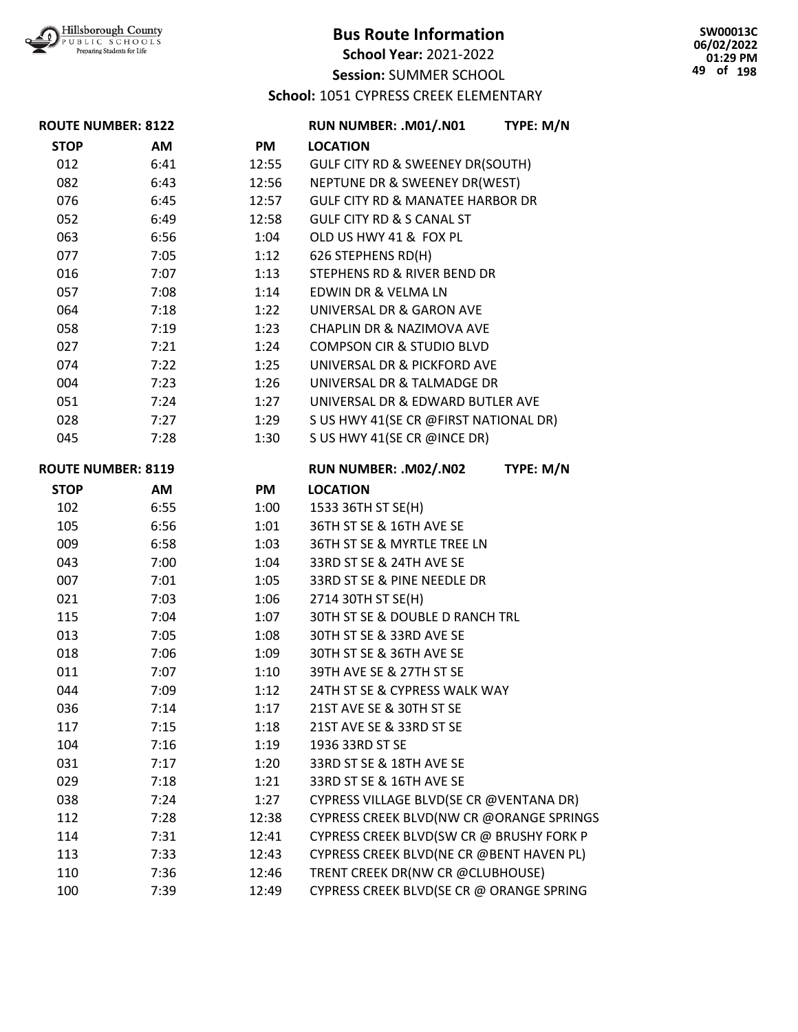

**School Year:** 2021-2022

**Session:** SUMMER SCHOOL

**School:** 1051 CYPRESS CREEK ELEMENTARY

| <b>ROUTE NUMBER: 8122</b> |      |                       | RUN NUMBER: .M01/.N01                       | TYPE: M/N |
|---------------------------|------|-----------------------|---------------------------------------------|-----------|
| <b>STOP</b>               | AM   | <b>PM</b>             | <b>LOCATION</b>                             |           |
| 012                       | 6:41 | 12:55                 | GULF CITY RD & SWEENEY DR(SOUTH)            |           |
| 082                       | 6:43 | 12:56                 | NEPTUNE DR & SWEENEY DR(WEST)               |           |
| 076                       | 6:45 | 12:57                 | <b>GULF CITY RD &amp; MANATEE HARBOR DR</b> |           |
| 052                       | 6:49 | 12:58                 | <b>GULF CITY RD &amp; S CANAL ST</b>        |           |
| 063                       | 6:56 | 1:04                  | OLD US HWY 41 & FOX PL                      |           |
| 077                       | 7:05 | 1:12                  | 626 STEPHENS RD(H)                          |           |
| 016                       | 7:07 | 1:13                  | <b>STEPHENS RD &amp; RIVER BEND DR</b>      |           |
| 057                       | 7:08 | 1:14                  | EDWIN DR & VELMA LN                         |           |
| 064                       | 7:18 | 1:22                  | UNIVERSAL DR & GARON AVE                    |           |
| 058                       | 7:19 | 1:23                  | CHAPLIN DR & NAZIMOVA AVE                   |           |
| 027                       | 7:21 | 1:24                  | <b>COMPSON CIR &amp; STUDIO BLVD</b>        |           |
| 074                       | 7:22 | 1:25                  | UNIVERSAL DR & PICKFORD AVE                 |           |
| 004                       | 7:23 | 1:26                  | UNIVERSAL DR & TALMADGE DR                  |           |
| 051                       | 7:24 | 1:27                  | UNIVERSAL DR & EDWARD BUTLER AVE            |           |
| 028                       | 7:27 | 1:29                  | S US HWY 41(SE CR @FIRST NATIONAL DR)       |           |
| 045                       | 7:28 | 1:30                  | S US HWY 41(SE CR @INCE DR)                 |           |
| <b>ROUTE NUMBER: 8119</b> |      | RUN NUMBER: .M02/.N02 | TYPE: M/N                                   |           |
| <b>STOP</b>               | AM   | PM                    | <b>LOCATION</b>                             |           |
| 102                       | 6:55 | 1:00                  | 1533 36TH ST SE(H)                          |           |
| 105                       | 6:56 | 1:01                  | 36TH ST SE & 16TH AVE SE                    |           |
| 009                       | 6:58 | 1:03                  | 36TH ST SE & MYRTLE TREE LN                 |           |
| 043                       | 7:00 | 1:04                  | 33RD ST SE & 24TH AVE SE                    |           |
| 007                       | 7:01 | 1:05                  | 33RD ST SE & PINE NEEDLE DR                 |           |
| 021                       | 7:03 | 1:06                  | 2714 30TH ST SE(H)                          |           |
| 115                       | 7:04 | 1:07                  | 30TH ST SE & DOUBLE D RANCH TRL             |           |
| 013                       | 7:05 | 1:08                  | 30TH ST SE & 33RD AVE SE                    |           |
| 018                       | 7:06 | 1:09                  | 30TH ST SE & 36TH AVE SE                    |           |
| 011                       | 7:07 | 1:10                  | 39TH AVE SE & 27TH ST SE                    |           |
| 044                       | 7:09 | 1:12                  | 24TH ST SE & CYPRESS WALK WAY               |           |
| 036                       | 7:14 | 1:17                  | 21ST AVE SE & 30TH ST SE                    |           |
| 117                       | 7:15 | 1:18                  | 21ST AVE SE & 33RD ST SE                    |           |
| 104                       | 7:16 | 1:19                  | 1936 33RD ST SE                             |           |
| 031                       | 7:17 | 1:20                  | 33RD ST SE & 18TH AVE SE                    |           |
| 029                       | 7:18 | 1:21                  | 33RD ST SE & 16TH AVE SE                    |           |
| 038                       | 7:24 | 1:27                  | CYPRESS VILLAGE BLVD(SE CR @VENTANA DR)     |           |
| 112                       | 7:28 | 12:38                 | CYPRESS CREEK BLVD(NW CR @ORANGE SPRINGS    |           |
| 114                       | 7:31 | 12:41                 | CYPRESS CREEK BLVD(SW CR @ BRUSHY FORK P    |           |
| 113                       | 7:33 | 12:43                 | CYPRESS CREEK BLVD(NE CR @BENT HAVEN PL)    |           |
| 110                       | 7:36 | 12:46                 | TRENT CREEK DR(NW CR @CLUBHOUSE)            |           |
| 100                       | 7:39 | 12:49                 | CYPRESS CREEK BLVD(SE CR @ ORANGE SPRING    |           |

**SW00013C 06/02/2022 01:29 PM 49 of 198**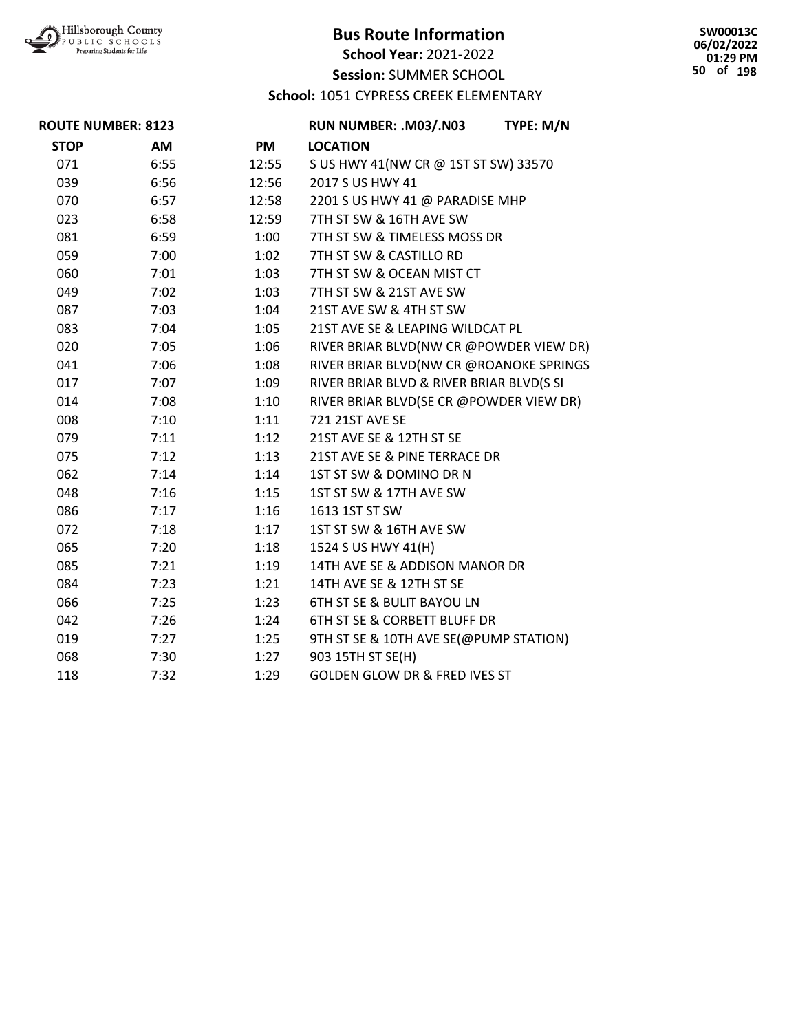

**School Year:** 2021-2022

**Session:** SUMMER SCHOOL

#### **School:** 1051 CYPRESS CREEK ELEMENTARY

**SW00013C 06/02/2022 01:29 PM 50 of 198**

| <b>ROUTE NUMBER: 8123</b> |      | RUN NUMBER: .M03/.N03 | TYPE: M/N                                |  |
|---------------------------|------|-----------------------|------------------------------------------|--|
| <b>STOP</b>               | AM   | <b>PM</b>             | <b>LOCATION</b>                          |  |
| 071                       | 6:55 | 12:55                 | S US HWY 41(NW CR @ 1ST ST SW) 33570     |  |
| 039                       | 6:56 | 12:56                 | 2017 S US HWY 41                         |  |
| 070                       | 6:57 | 12:58                 | 2201 S US HWY 41 @ PARADISE MHP          |  |
| 023                       | 6:58 | 12:59                 | 7TH ST SW & 16TH AVE SW                  |  |
| 081                       | 6:59 | 1:00                  | 7TH ST SW & TIMELESS MOSS DR             |  |
| 059                       | 7:00 | 1:02                  | 7TH ST SW & CASTILLO RD                  |  |
| 060                       | 7:01 | 1:03                  | 7TH ST SW & OCEAN MIST CT                |  |
| 049                       | 7:02 | 1:03                  | 7TH ST SW & 21ST AVE SW                  |  |
| 087                       | 7:03 | 1:04                  | 21ST AVE SW & 4TH ST SW                  |  |
| 083                       | 7:04 | 1:05                  | 21ST AVE SE & LEAPING WILDCAT PL         |  |
| 020                       | 7:05 | 1:06                  | RIVER BRIAR BLVD(NW CR @POWDER VIEW DR)  |  |
| 041                       | 7:06 | 1:08                  | RIVER BRIAR BLVD(NW CR @ROANOKE SPRINGS  |  |
| 017                       | 7:07 | 1:09                  | RIVER BRIAR BLVD & RIVER BRIAR BLVD(S SI |  |
| 014                       | 7:08 | 1:10                  | RIVER BRIAR BLVD(SE CR @POWDER VIEW DR)  |  |
| 008                       | 7:10 | 1:11                  | 721 21ST AVE SE                          |  |
| 079                       | 7:11 | 1:12                  | 21ST AVE SE & 12TH ST SE                 |  |
| 075                       | 7:12 | 1:13                  | 21ST AVE SE & PINE TERRACE DR            |  |
| 062                       | 7:14 | 1:14                  | 1ST ST SW & DOMINO DR N                  |  |
| 048                       | 7:16 | 1:15                  | 1ST ST SW & 17TH AVE SW                  |  |
| 086                       | 7:17 | 1:16                  | 1613 1ST ST SW                           |  |
| 072                       | 7:18 | 1:17                  | 1ST ST SW & 16TH AVE SW                  |  |
| 065                       | 7:20 | 1:18                  | 1524 S US HWY 41(H)                      |  |
| 085                       | 7:21 | 1:19                  | 14TH AVE SE & ADDISON MANOR DR           |  |
| 084                       | 7:23 | 1:21                  | 14TH AVE SE & 12TH ST SE                 |  |
| 066                       | 7:25 | 1:23                  | 6TH ST SE & BULIT BAYOU LN               |  |
| 042                       | 7:26 | 1:24                  | 6TH ST SE & CORBETT BLUFF DR             |  |
| 019                       | 7:27 | 1:25                  | 9TH ST SE & 10TH AVE SE(@PUMP STATION)   |  |
| 068                       | 7:30 | 1:27                  | 903 15TH ST SE(H)                        |  |
| 118                       | 7:32 | 1:29                  | <b>GOLDEN GLOW DR &amp; FRED IVES ST</b> |  |
|                           |      |                       |                                          |  |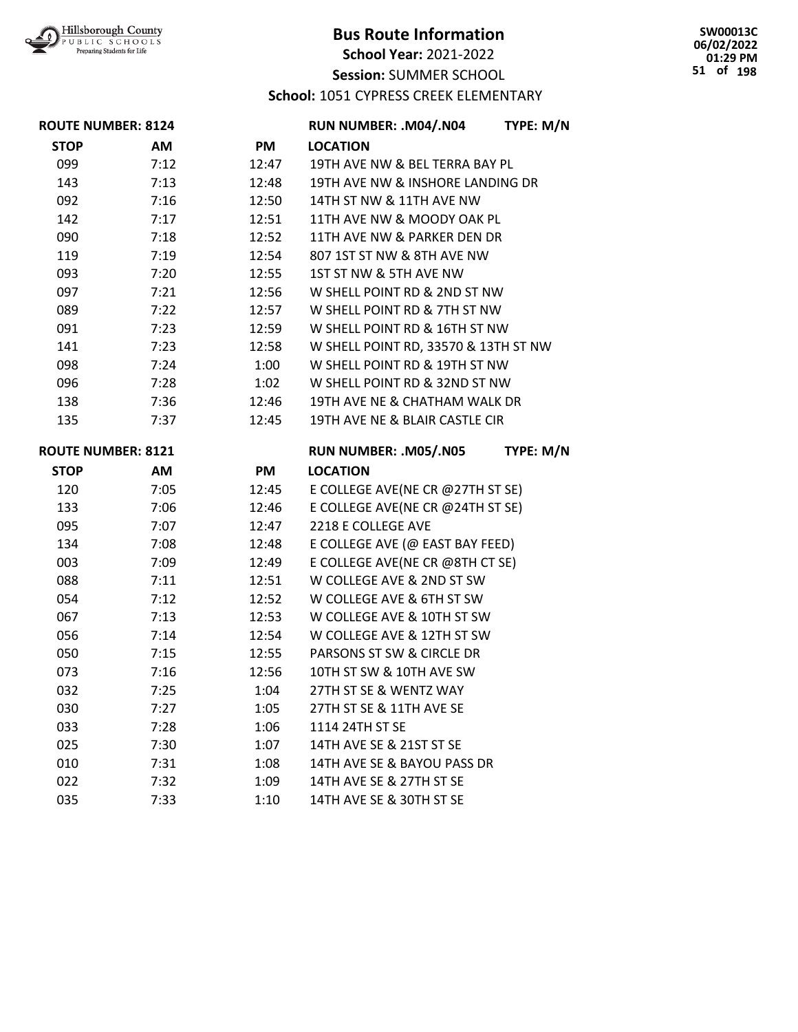

**School Year:** 2021-2022

**Session:** SUMMER SCHOOL

**School:** 1051 CYPRESS CREEK ELEMENTARY

| <b>ROUTE NUMBER: 8124</b> |      | RUN NUMBER: .M04/.N04 | TYPE: M/N                            |           |
|---------------------------|------|-----------------------|--------------------------------------|-----------|
| <b>STOP</b>               | AM   | PM                    | <b>LOCATION</b>                      |           |
| 099                       | 7:12 | 12:47                 | 19TH AVE NW & BEL TERRA BAY PL       |           |
| 143                       | 7:13 | 12:48                 | 19TH AVE NW & INSHORE LANDING DR     |           |
| 092                       | 7:16 | 12:50                 | 14TH ST NW & 11TH AVE NW             |           |
| 142                       | 7:17 | 12:51                 | 11TH AVE NW & MOODY OAK PL           |           |
| 090                       | 7:18 | 12:52                 | 11TH AVE NW & PARKER DEN DR          |           |
| 119                       | 7:19 | 12:54                 | 807 1ST ST NW & 8TH AVE NW           |           |
| 093                       | 7:20 | 12:55                 | 1ST ST NW & 5TH AVE NW               |           |
| 097                       | 7:21 | 12:56                 | W SHELL POINT RD & 2ND ST NW         |           |
| 089                       | 7:22 | 12:57                 | W SHELL POINT RD & 7TH ST NW         |           |
| 091                       | 7:23 | 12:59                 | W SHELL POINT RD & 16TH ST NW        |           |
| 141                       | 7:23 | 12:58                 | W SHELL POINT RD, 33570 & 13TH ST NW |           |
| 098                       | 7:24 | 1:00                  | W SHELL POINT RD & 19TH ST NW        |           |
| 096                       | 7:28 | 1:02                  | W SHELL POINT RD & 32ND ST NW        |           |
| 138                       | 7:36 | 12:46                 | 19TH AVE NE & CHATHAM WALK DR        |           |
| 135                       | 7:37 | 12:45                 | 19TH AVE NE & BLAIR CASTLE CIR       |           |
| <b>ROUTE NUMBER: 8121</b> |      |                       | RUN NUMBER: .M05/.N05                | TYPE: M/N |
| <b>STOP</b>               | AM   | <b>PM</b>             | <b>LOCATION</b>                      |           |
| 120                       | 7:05 | 12:45                 | E COLLEGE AVE(NE CR @27TH ST SE)     |           |
| 133                       | 7:06 | 12:46                 | E COLLEGE AVE(NE CR @24TH ST SE)     |           |
| 095                       | 7:07 | 12:47                 | 2218 E COLLEGE AVE                   |           |
| 134                       | 7:08 | 12:48                 | E COLLEGE AVE (@ EAST BAY FEED)      |           |
| 003                       | 7:09 | 12:49                 | E COLLEGE AVE(NE CR @8TH CT SE)      |           |
| 088                       | 7:11 | 12:51                 | W COLLEGE AVE & 2ND ST SW            |           |
| 054                       | 7:12 | 12:52                 | W COLLEGE AVE & 6TH ST SW            |           |
| 067                       | 7:13 | 12:53                 | W COLLEGE AVE & 10TH ST SW           |           |
| 056                       | 7:14 | 12:54                 | W COLLEGE AVE & 12TH ST SW           |           |
| 050                       | 7:15 | 12:55                 | PARSONS ST SW & CIRCLE DR            |           |
| 073                       | 7:16 | 12:56                 | 10TH ST SW & 10TH AVE SW             |           |
| 032                       | 7:25 | 1:04                  | 27TH ST SE & WENTZ WAY               |           |
| 030                       | 7:27 | 1:05                  | 27TH ST SE & 11TH AVE SE             |           |
| 033                       | 7:28 | 1:06                  | 1114 24TH ST SE                      |           |
| 025                       | 7:30 | 1:07                  | 14TH AVE SE & 21ST ST SE             |           |
| 010                       | 7:31 | 1:08                  | 14TH AVE SE & BAYOU PASS DR          |           |
| 022                       | 7:32 | 1:09                  | 14TH AVE SE & 27TH ST SE             |           |
| 035                       | 7:33 | 1:10                  | 14TH AVE SE & 30TH ST SE             |           |

**SW00013C 06/02/2022 01:29 PM 51 of 198**